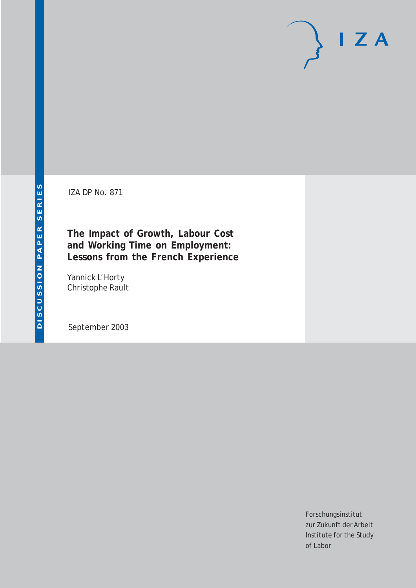# $I Z A$

IZA DP No. 871

**The Impact of Growth, Labour Cost and Working Time on Employment: Lessons from the French Experience**

Yannick L'Horty Christophe Rault

September 2003

Forschungsinstitut zur Zukunft der Arbeit Institute for the Study of Labor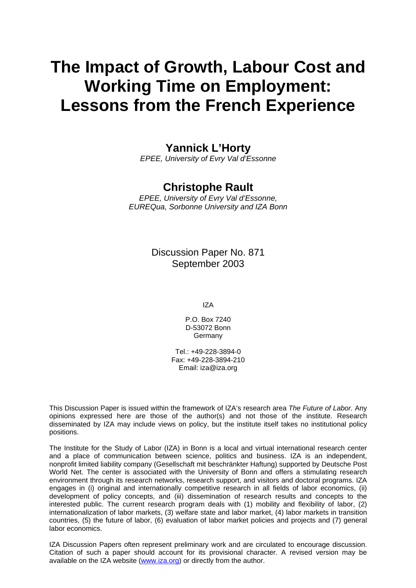# **The Impact of Growth, Labour Cost and Working Time on Employment: Lessons from the French Experience**

## **Yannick L'Horty**

*EPEE, University of Evry Val d'Essonne*

### **Christophe Rault**

*EPEE, University of Evry Val d'Essonne, EUREQua, Sorbonne University and IZA Bonn*

> Discussion Paper No. 871 September 2003

> > IZA

P.O. Box 7240 D-53072 Bonn **Germany** 

Tel.: +49-228-3894-0 Fax: +49-228-3894-210 Email: [iza@iza.org](mailto:iza@iza.org)

This Discussion Paper is issued within the framework of IZA's research area *The Future of Labor.* Any opinions expressed here are those of the author(s) and not those of the institute. Research disseminated by IZA may include views on policy, but the institute itself takes no institutional policy positions.

The Institute for the Study of Labor (IZA) in Bonn is a local and virtual international research center and a place of communication between science, politics and business. IZA is an independent, nonprofit limited liability company (Gesellschaft mit beschränkter Haftung) supported by Deutsche Post World Net. The center is associated with the University of Bonn and offers a stimulating research environment through its research networks, research support, and visitors and doctoral programs. IZA engages in (i) original and internationally competitive research in all fields of labor economics, (ii) development of policy concepts, and (iii) dissemination of research results and concepts to the interested public. The current research program deals with (1) mobility and flexibility of labor, (2) internationalization of labor markets, (3) welfare state and labor market, (4) labor markets in transition countries, (5) the future of labor, (6) evaluation of labor market policies and projects and (7) general labor economics.

IZA Discussion Papers often represent preliminary work and are circulated to encourage discussion. Citation of such a paper should account for its provisional character. A revised version may be available on the IZA website ([www.iza.org](http://www.iza.org/)) or directly from the author.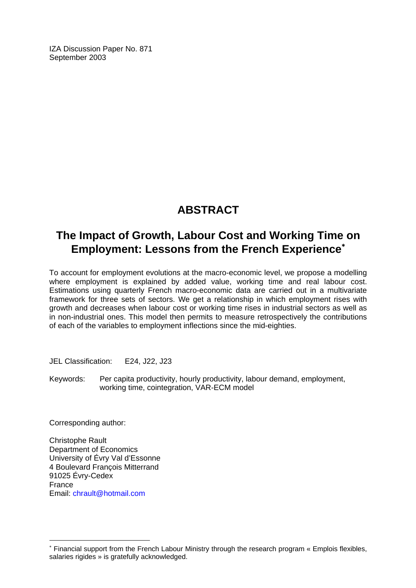IZA Discussion Paper No. 871 September 2003

## **ABSTRACT**

## **The Impact of Growth, Labour Cost and Working Time on Employment: Lessons from the French Experience**[∗](#page-2-0)

To account for employment evolutions at the macro-economic level, we propose a modelling where employment is explained by added value, working time and real labour cost. Estimations using quarterly French macro-economic data are carried out in a multivariate framework for three sets of sectors. We get a relationship in which employment rises with growth and decreases when labour cost or working time rises in industrial sectors as well as in non-industrial ones. This model then permits to measure retrospectively the contributions of each of the variables to employment inflections since the mid-eighties.

JEL Classification: E24, J22, J23

Keywords: Per capita productivity, hourly productivity, labour demand, employment, working time, cointegration, VAR-ECM model

Corresponding author:

 $\overline{a}$ 

Christophe Rault Department of Economics University of Évry Val d'Essonne 4 Boulevard François Mitterrand 91025 Évry-Cedex France Email: chrault@hotmail.com

<span id="page-2-0"></span><sup>∗</sup> Financial support from the French Labour Ministry through the research program « Emplois flexibles, salaries rigides » is gratefully acknowledged.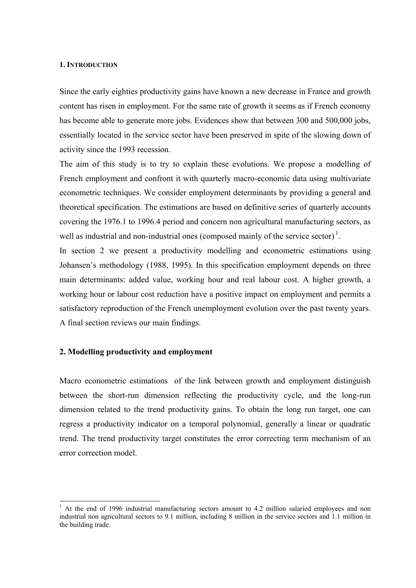#### **1. INTRODUCTION**

Since the early eighties productivity gains have known a new decrease in France and growth content has risen in employment. For the same rate of growth it seems as if French economy has become able to generate more jobs. Evidences show that between 300 and 500,000 jobs, essentially located in the service sector have been preserved in spite of the slowing down of activity since the 1993 recession.

The aim of this study is to try to explain these evolutions. We propose a modelling of French employment and confront it with quarterly macro-economic data using multivariate econometric techniques. We consider employment determinants by providing a general and theoretical specification. The estimations are based on definitive series of quarterly accounts covering the 1976.1 to 1996.4 period and concern non agricultural manufacturing sectors, as well as industrial and non-industrial ones (composed mainly of the service sector)<sup>1</sup>.

In section 2 we present a productivity modelling and econometric estimations using Johansen's methodology (1988, 1995). In this specification employment depends on three main determinants: added value, working hour and real labour cost. A higher growth, a working hour or labour cost reduction have a positive impact on employment and permits a satisfactory reproduction of the French unemployment evolution over the past twenty years. A final section reviews our main findings.

#### **2. Modelling productivity and employment**

l

Macro econometric estimations of the link between growth and employment distinguish between the short-run dimension reflecting the productivity cycle, and the long-run dimension related to the trend productivity gains. To obtain the long run target, one can regress a productivity indicator on a temporal polynomial, generally a linear or quadratic trend. The trend productivity target constitutes the error correcting term mechanism of an error correction model.

<sup>&</sup>lt;sup>1</sup> At the end of 1996 industrial manufacturing sectors amount to 4.2 million salaried employees and non industrial non agricultural sectors to 9.1 million, including 8 million in the service sectors and 1.1 million in the building trade.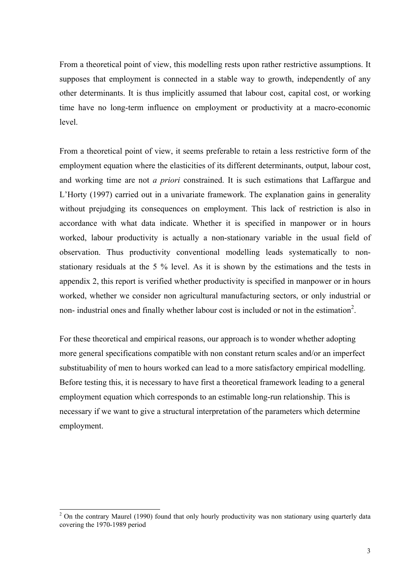From a theoretical point of view, this modelling rests upon rather restrictive assumptions. It supposes that employment is connected in a stable way to growth, independently of any other determinants. It is thus implicitly assumed that labour cost, capital cost, or working time have no long-term influence on employment or productivity at a macro-economic level.

From a theoretical point of view, it seems preferable to retain a less restrictive form of the employment equation where the elasticities of its different determinants, output, labour cost, and working time are not *a priori* constrained. It is such estimations that Laffargue and L'Horty (1997) carried out in a univariate framework. The explanation gains in generality without prejudging its consequences on employment. This lack of restriction is also in accordance with what data indicate. Whether it is specified in manpower or in hours worked, labour productivity is actually a non-stationary variable in the usual field of observation. Thus productivity conventional modelling leads systematically to nonstationary residuals at the 5 % level. As it is shown by the estimations and the tests in appendix 2, this report is verified whether productivity is specified in manpower or in hours worked, whether we consider non agricultural manufacturing sectors, or only industrial or non- industrial ones and finally whether labour cost is included or not in the estimation<sup>2</sup>.

For these theoretical and empirical reasons, our approach is to wonder whether adopting more general specifications compatible with non constant return scales and/or an imperfect substituability of men to hours worked can lead to a more satisfactory empirical modelling. Before testing this, it is necessary to have first a theoretical framework leading to a general employment equation which corresponds to an estimable long-run relationship. This is necessary if we want to give a structural interpretation of the parameters which determine employment.

<sup>&</sup>lt;sup>2</sup> On the contrary Maurel (1990) found that only hourly productivity was non stationary using quarterly data covering the 1970-1989 period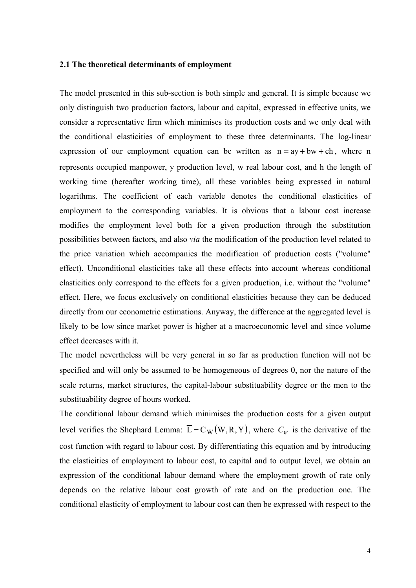#### **2.1 The theoretical determinants of employment**

The model presented in this sub-section is both simple and general. It is simple because we only distinguish two production factors, labour and capital, expressed in effective units, we consider a representative firm which minimises its production costs and we only deal with the conditional elasticities of employment to these three determinants. The log-linear expression of our employment equation can be written as  $n = ay + bw + ch$ , where n represents occupied manpower, y production level, w real labour cost, and h the length of working time (hereafter working time), all these variables being expressed in natural logarithms. The coefficient of each variable denotes the conditional elasticities of employment to the corresponding variables. It is obvious that a labour cost increase modifies the employment level both for a given production through the substitution possibilities between factors, and also *via* the modification of the production level related to the price variation which accompanies the modification of production costs ("volume" effect). Unconditional elasticities take all these effects into account whereas conditional elasticities only correspond to the effects for a given production, i.e. without the "volume" effect. Here, we focus exclusively on conditional elasticities because they can be deduced directly from our econometric estimations. Anyway, the difference at the aggregated level is likely to be low since market power is higher at a macroeconomic level and since volume effect decreases with it.

The model nevertheless will be very general in so far as production function will not be specified and will only be assumed to be homogeneous of degrees θ, nor the nature of the scale returns, market structures, the capital-labour substituability degree or the men to the substituability degree of hours worked.

The conditional labour demand which minimises the production costs for a given output level verifies the Shephard Lemma:  $\overline{L} = C_W(W, R, Y)$ , where  $C_W$  is the derivative of the cost function with regard to labour cost. By differentiating this equation and by introducing the elasticities of employment to labour cost, to capital and to output level, we obtain an expression of the conditional labour demand where the employment growth of rate only depends on the relative labour cost growth of rate and on the production one. The conditional elasticity of employment to labour cost can then be expressed with respect to the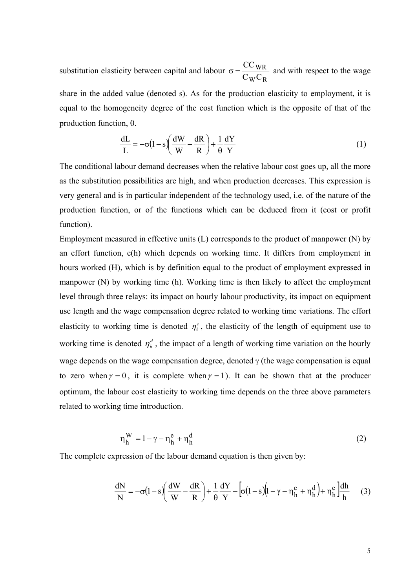substitution elasticity between capital and labour  $_W$ C $_R$ WR  $C_W C$ CC  $\sigma = \frac{\sigma_{\text{w}}}{\sigma_{\text{w}}}\frac{1}{\sigma_{\text{w}}}$  and with respect to the wage share in the added value (denoted s). As for the production elasticity to employment, it is equal to the homogeneity degree of the cost function which is the opposite of that of the production function, θ.

$$
\frac{dL}{L} = -\sigma (1 - s) \left( \frac{dW}{W} - \frac{dR}{R} \right) + \frac{1}{\theta} \frac{dY}{Y}
$$
(1)

The conditional labour demand decreases when the relative labour cost goes up, all the more as the substitution possibilities are high, and when production decreases. This expression is very general and is in particular independent of the technology used, i.e. of the nature of the production function, or of the functions which can be deduced from it (cost or profit function).

Employment measured in effective units (L) corresponds to the product of manpower (N) by an effort function, e(h) which depends on working time. It differs from employment in hours worked (H), which is by definition equal to the product of employment expressed in manpower (N) by working time (h). Working time is then likely to affect the employment level through three relays: its impact on hourly labour productivity, its impact on equipment use length and the wage compensation degree related to working time variations. The effort elasticity to working time is denoted  $\eta^e$ , the elasticity of the length of equipment use to working time is denoted  $\eta_h^d$ , the impact of a length of working time variation on the hourly wage depends on the wage compensation degree, denoted  $\gamma$  (the wage compensation is equal to zero when  $\gamma = 0$ , it is complete when  $\gamma = 1$ ). It can be shown that at the producer optimum, the labour cost elasticity to working time depends on the three above parameters related to working time introduction.

$$
\eta_h^W = 1 - \gamma - \eta_h^e + \eta_h^d \tag{2}
$$

The complete expression of the labour demand equation is then given by:

$$
\frac{dN}{N} = -\sigma \left(1 - s\right) \left(\frac{dW}{W} - \frac{dR}{R}\right) + \frac{1}{\theta} \frac{dY}{Y} - \left[\sigma \left(1 - s\right) \left(1 - \gamma - \eta_h^e + \eta_h^d\right) + \eta_h^e\right] \frac{dh}{h} \tag{3}
$$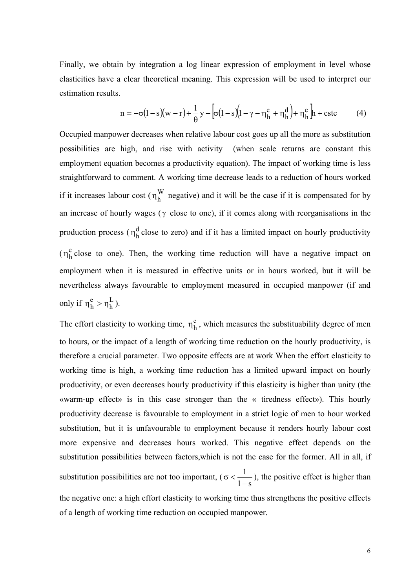Finally, we obtain by integration a log linear expression of employment in level whose elasticities have a clear theoretical meaning. This expression will be used to interpret our estimation results.

$$
n = -\sigma(1-s)(w-r) + \frac{1}{\theta}y - \left[\sigma(1-s)(1-\gamma-\eta_h^e + \eta_h^d) + \eta_h^e\right]h + cste
$$
 (4)

Occupied manpower decreases when relative labour cost goes up all the more as substitution possibilities are high, and rise with activity (when scale returns are constant this employment equation becomes a productivity equation). The impact of working time is less straightforward to comment. A working time decrease leads to a reduction of hours worked if it increases labour cost ( $\eta_h^W$  negative) and it will be the case if it is compensated for by an increase of hourly wages ( $\gamma$  close to one), if it comes along with reorganisations in the production process ( $\eta_h^d$  close to zero) and if it has a limited impact on hourly productivity  $(\eta_h^e)$  close to one). Then, the working time reduction will have a negative impact on employment when it is measured in effective units or in hours worked, but it will be nevertheless always favourable to employment measured in occupied manpower (if and only if  $\eta_h^e > \eta_h^L$  $\eta_h^e > \eta_h^L$ ).

The effort elasticity to working time,  $\eta_h^e$ , which measures the substituability degree of men to hours, or the impact of a length of working time reduction on the hourly productivity, is therefore a crucial parameter. Two opposite effects are at work When the effort elasticity to working time is high, a working time reduction has a limited upward impact on hourly productivity, or even decreases hourly productivity if this elasticity is higher than unity (the «warm-up effect» is in this case stronger than the « tiredness effect»). This hourly productivity decrease is favourable to employment in a strict logic of men to hour worked substitution, but it is unfavourable to employment because it renders hourly labour cost more expensive and decreases hours worked. This negative effect depends on the substitution possibilities between factors,which is not the case for the former. All in all, if substitution possibilities are not too important, ( $\sigma < \frac{1}{1-s}$ ), the positive effect is higher than the negative one: a high effort elasticity to working time thus strengthens the positive effects of a length of working time reduction on occupied manpower.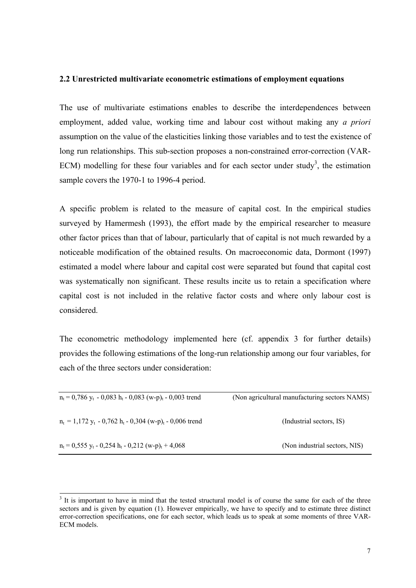#### **2.2 Unrestricted multivariate econometric estimations of employment equations**

The use of multivariate estimations enables to describe the interdependences between employment, added value, working time and labour cost without making any *a priori* assumption on the value of the elasticities linking those variables and to test the existence of long run relationships. This sub-section proposes a non-constrained error-correction (VAR-ECM) modelling for these four variables and for each sector under study<sup>3</sup>, the estimation sample covers the 1970-1 to 1996-4 period.

A specific problem is related to the measure of capital cost. In the empirical studies surveyed by Hamermesh (1993), the effort made by the empirical researcher to measure other factor prices than that of labour, particularly that of capital is not much rewarded by a noticeable modification of the obtained results. On macroeconomic data, Dormont (1997) estimated a model where labour and capital cost were separated but found that capital cost was systematically non significant. These results incite us to retain a specification where capital cost is not included in the relative factor costs and where only labour cost is considered.

The econometric methodology implemented here (cf. appendix 3 for further details) provides the following estimations of the long-run relationship among our four variables, for each of the three sectors under consideration:

| $n_t = 0.786$ y <sub>t</sub> - 0.083 h <sub>t</sub> - 0.083 (w-p) <sub>t</sub> - 0.003 trend | (Non agricultural manufacturing sectors NAMS) |
|----------------------------------------------------------------------------------------------|-----------------------------------------------|
| $n_t = 1.172$ y <sub>t</sub> - 0.762 h <sub>t</sub> - 0.304 (w-p) <sub>t</sub> - 0.006 trend | (Industrial sectors, IS)                      |
| $n_t = 0.555$ y <sub>t</sub> - 0.254 h <sub>t</sub> - 0.212 (w-p) <sub>t</sub> + 4.068       | (Non industrial sectors, NIS)                 |

<sup>&</sup>lt;sup>3</sup> It is important to have in mind that the tested structural model is of course the same for each of the three sectors and is given by equation (1). However empirically, we have to specify and to estimate three distinct error-correction specifications, one for each sector, which leads us to speak at some moments of three VAR-ECM models.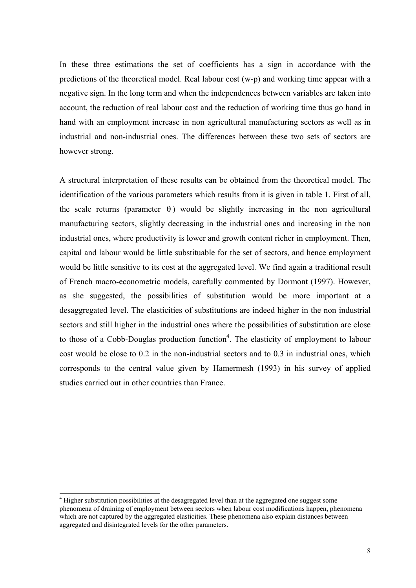In these three estimations the set of coefficients has a sign in accordance with the predictions of the theoretical model. Real labour cost (w-p) and working time appear with a negative sign. In the long term and when the independences between variables are taken into account, the reduction of real labour cost and the reduction of working time thus go hand in hand with an employment increase in non agricultural manufacturing sectors as well as in industrial and non-industrial ones. The differences between these two sets of sectors are however strong.

A structural interpretation of these results can be obtained from the theoretical model. The identification of the various parameters which results from it is given in table 1. First of all, the scale returns (parameter  $\theta$ ) would be slightly increasing in the non agricultural manufacturing sectors, slightly decreasing in the industrial ones and increasing in the non industrial ones, where productivity is lower and growth content richer in employment. Then, capital and labour would be little substituable for the set of sectors, and hence employment would be little sensitive to its cost at the aggregated level. We find again a traditional result of French macro-econometric models, carefully commented by Dormont (1997). However, as she suggested, the possibilities of substitution would be more important at a desaggregated level. The elasticities of substitutions are indeed higher in the non industrial sectors and still higher in the industrial ones where the possibilities of substitution are close to those of a Cobb-Douglas production function<sup>4</sup>. The elasticity of employment to labour cost would be close to 0.2 in the non-industrial sectors and to 0.3 in industrial ones, which corresponds to the central value given by Hamermesh (1993) in his survey of applied studies carried out in other countries than France.

l

<sup>&</sup>lt;sup>4</sup> Higher substitution possibilities at the desagregated level than at the aggregated one suggest some phenomena of draining of employment between sectors when labour cost modifications happen, phenomena which are not captured by the aggregated elasticities. These phenomena also explain distances between aggregated and disintegrated levels for the other parameters.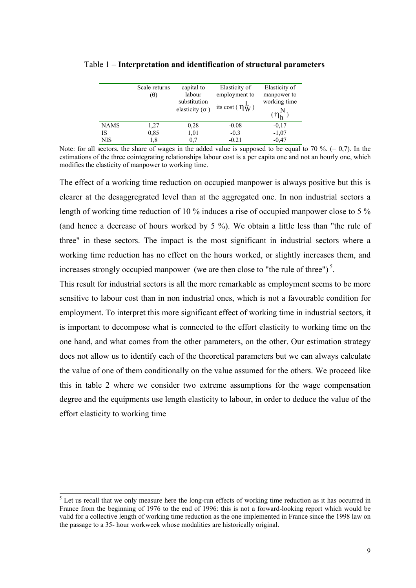|      | Scale returns<br>$(\theta)$ | capital to<br>labour<br>substitution<br>elasticity ( $\sigma$ ) | Elasticity of<br>employment to<br>its cost $(\overline{\eta}_W^L)$ | Elasticity of<br>manpower to<br>working time<br>$(\eta_h^N)$ |
|------|-----------------------------|-----------------------------------------------------------------|--------------------------------------------------------------------|--------------------------------------------------------------|
| NAMS | 1,27                        | 0,28                                                            | $-0.08$                                                            | $-0.17$                                                      |
| IS   | 0,85                        | 1,01                                                            | $-0.3$                                                             | $-1,07$                                                      |
| NIS  | 1.8                         | 0.7                                                             | $-0.21$                                                            | $-0.47$                                                      |

| Table 1 – Interpretation and identification of structural parameters |  |  |  |  |
|----------------------------------------------------------------------|--|--|--|--|
|----------------------------------------------------------------------|--|--|--|--|

Note: for all sectors, the share of wages in the added value is supposed to be equal to 70 %.  $(= 0,7)$ . In the estimations of the three cointegrating relationships labour cost is a per capita one and not an hourly one, which modifies the elasticity of manpower to working time.

The effect of a working time reduction on occupied manpower is always positive but this is clearer at the desaggregrated level than at the aggregated one. In non industrial sectors a length of working time reduction of 10 % induces a rise of occupied manpower close to 5 % (and hence a decrease of hours worked by 5 %). We obtain a little less than "the rule of three" in these sectors. The impact is the most significant in industrial sectors where a working time reduction has no effect on the hours worked, or slightly increases them, and increases strongly occupied manpower (we are then close to "the rule of three")<sup>5</sup>.

This result for industrial sectors is all the more remarkable as employment seems to be more sensitive to labour cost than in non industrial ones, which is not a favourable condition for employment. To interpret this more significant effect of working time in industrial sectors, it is important to decompose what is connected to the effort elasticity to working time on the one hand, and what comes from the other parameters, on the other. Our estimation strategy does not allow us to identify each of the theoretical parameters but we can always calculate the value of one of them conditionally on the value assumed for the others. We proceed like this in table 2 where we consider two extreme assumptions for the wage compensation degree and the equipments use length elasticity to labour, in order to deduce the value of the effort elasticity to working time

<sup>&</sup>lt;sup>5</sup> Let us recall that we only measure here the long-run effects of working time reduction as it has occurred in France from the beginning of 1976 to the end of 1996: this is not a forward-looking report which would be valid for a collective length of working time reduction as the one implemented in France since the 1998 law on the passage to a 35- hour workweek whose modalities are historically original.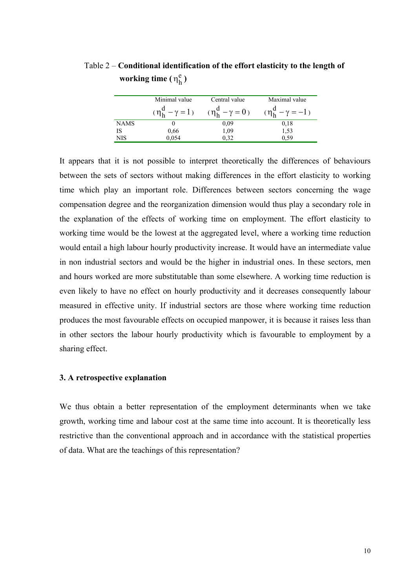|             | Minimal value     | Central value | Maximal value                                                                  |
|-------------|-------------------|---------------|--------------------------------------------------------------------------------|
|             |                   |               | $(\eta_h^d - \gamma = 1)$ $(\eta_h^d - \gamma = 0)$ $(\eta_h^d - \gamma = -1)$ |
| <b>NAMS</b> |                   | 0.09          | 0.18                                                                           |
| IS          | $0,66$<br>$0,054$ | 1,09          | $\frac{1,53}{0,59}$                                                            |
| <b>NIS</b>  |                   | 0.32          |                                                                                |

Table 2 – **Conditional identification of the effort elasticity to the length of working time**  $(\eta_h^e)$ 

It appears that it is not possible to interpret theoretically the differences of behaviours between the sets of sectors without making differences in the effort elasticity to working time which play an important role. Differences between sectors concerning the wage compensation degree and the reorganization dimension would thus play a secondary role in the explanation of the effects of working time on employment. The effort elasticity to working time would be the lowest at the aggregated level, where a working time reduction would entail a high labour hourly productivity increase. It would have an intermediate value in non industrial sectors and would be the higher in industrial ones. In these sectors, men and hours worked are more substitutable than some elsewhere. A working time reduction is even likely to have no effect on hourly productivity and it decreases consequently labour measured in effective unity. If industrial sectors are those where working time reduction produces the most favourable effects on occupied manpower, it is because it raises less than in other sectors the labour hourly productivity which is favourable to employment by a sharing effect.

#### **3. A retrospective explanation**

We thus obtain a better representation of the employment determinants when we take growth, working time and labour cost at the same time into account. It is theoretically less restrictive than the conventional approach and in accordance with the statistical properties of data. What are the teachings of this representation?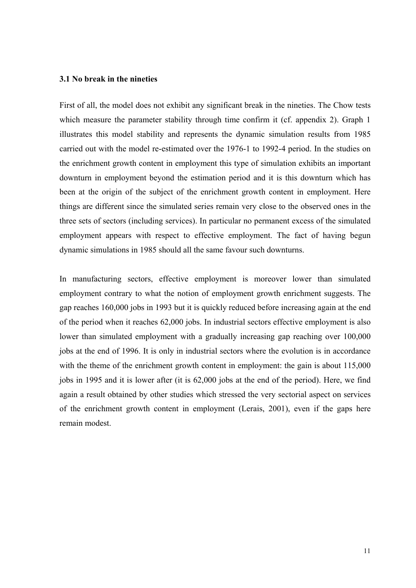#### **3.1 No break in the nineties**

First of all, the model does not exhibit any significant break in the nineties. The Chow tests which measure the parameter stability through time confirm it (cf. appendix 2). Graph 1 illustrates this model stability and represents the dynamic simulation results from 1985 carried out with the model re-estimated over the 1976-1 to 1992-4 period. In the studies on the enrichment growth content in employment this type of simulation exhibits an important downturn in employment beyond the estimation period and it is this downturn which has been at the origin of the subject of the enrichment growth content in employment. Here things are different since the simulated series remain very close to the observed ones in the three sets of sectors (including services). In particular no permanent excess of the simulated employment appears with respect to effective employment. The fact of having begun dynamic simulations in 1985 should all the same favour such downturns.

In manufacturing sectors, effective employment is moreover lower than simulated employment contrary to what the notion of employment growth enrichment suggests. The gap reaches 160,000 jobs in 1993 but it is quickly reduced before increasing again at the end of the period when it reaches 62,000 jobs. In industrial sectors effective employment is also lower than simulated employment with a gradually increasing gap reaching over 100,000 jobs at the end of 1996. It is only in industrial sectors where the evolution is in accordance with the theme of the enrichment growth content in employment: the gain is about  $115,000$ jobs in 1995 and it is lower after (it is 62,000 jobs at the end of the period). Here, we find again a result obtained by other studies which stressed the very sectorial aspect on services of the enrichment growth content in employment (Lerais, 2001), even if the gaps here remain modest.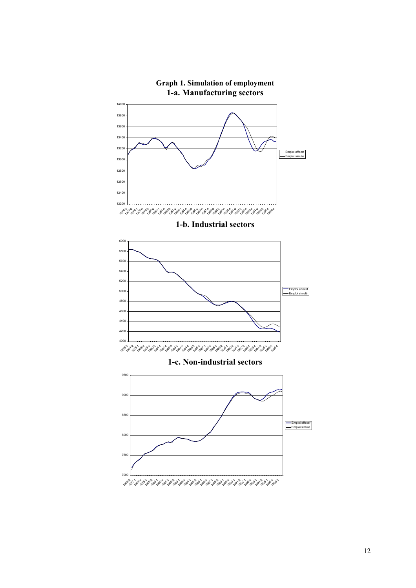

# **Graph 1. Simulation of employment**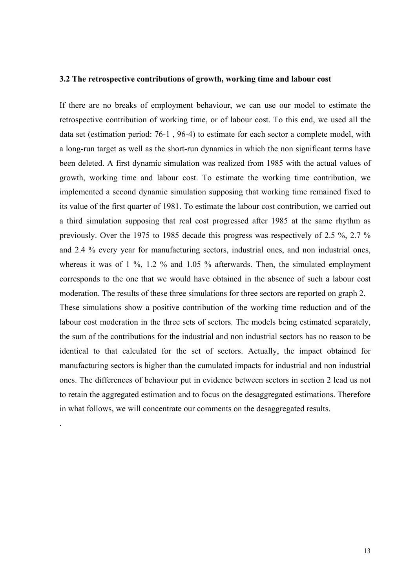#### **3.2 The retrospective contributions of growth, working time and labour cost**

If there are no breaks of employment behaviour, we can use our model to estimate the retrospective contribution of working time, or of labour cost. To this end, we used all the data set (estimation period: 76-1 , 96-4) to estimate for each sector a complete model, with a long-run target as well as the short-run dynamics in which the non significant terms have been deleted. A first dynamic simulation was realized from 1985 with the actual values of growth, working time and labour cost. To estimate the working time contribution, we implemented a second dynamic simulation supposing that working time remained fixed to its value of the first quarter of 1981. To estimate the labour cost contribution, we carried out a third simulation supposing that real cost progressed after 1985 at the same rhythm as previously. Over the 1975 to 1985 decade this progress was respectively of 2.5 %, 2.7 % and 2.4 % every year for manufacturing sectors, industrial ones, and non industrial ones, whereas it was of 1 %, 1.2 % and 1.05 % afterwards. Then, the simulated employment corresponds to the one that we would have obtained in the absence of such a labour cost moderation. The results of these three simulations for three sectors are reported on graph 2. These simulations show a positive contribution of the working time reduction and of the labour cost moderation in the three sets of sectors. The models being estimated separately, the sum of the contributions for the industrial and non industrial sectors has no reason to be identical to that calculated for the set of sectors. Actually, the impact obtained for manufacturing sectors is higher than the cumulated impacts for industrial and non industrial ones. The differences of behaviour put in evidence between sectors in section 2 lead us not to retain the aggregated estimation and to focus on the desaggregated estimations. Therefore in what follows, we will concentrate our comments on the desaggregated results.

.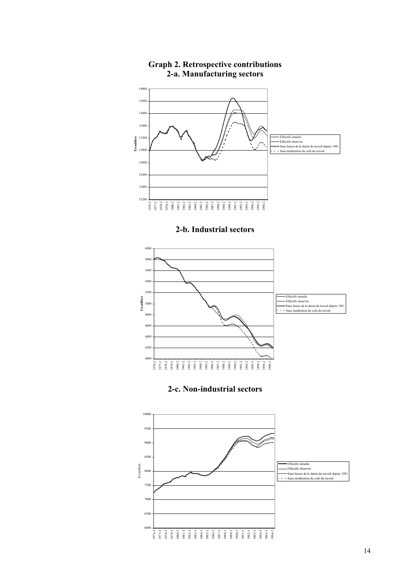

#### **Graph 2. Retrospective contributions 2-a. Manufacturing sectors**

#### **2-b. Industrial sectors**



#### **2-c. Non-industrial sectors**

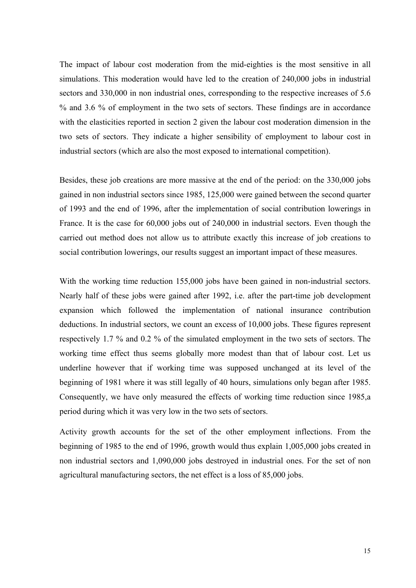The impact of labour cost moderation from the mid-eighties is the most sensitive in all simulations. This moderation would have led to the creation of 240,000 jobs in industrial sectors and 330,000 in non industrial ones, corresponding to the respective increases of 5.6 % and 3.6 % of employment in the two sets of sectors. These findings are in accordance with the elasticities reported in section 2 given the labour cost moderation dimension in the two sets of sectors. They indicate a higher sensibility of employment to labour cost in industrial sectors (which are also the most exposed to international competition).

Besides, these job creations are more massive at the end of the period: on the 330,000 jobs gained in non industrial sectors since 1985, 125,000 were gained between the second quarter of 1993 and the end of 1996, after the implementation of social contribution lowerings in France. It is the case for 60,000 jobs out of 240,000 in industrial sectors. Even though the carried out method does not allow us to attribute exactly this increase of job creations to social contribution lowerings, our results suggest an important impact of these measures.

With the working time reduction 155,000 jobs have been gained in non-industrial sectors. Nearly half of these jobs were gained after 1992, i.e. after the part-time job development expansion which followed the implementation of national insurance contribution deductions. In industrial sectors, we count an excess of 10,000 jobs. These figures represent respectively 1.7 % and 0.2 % of the simulated employment in the two sets of sectors. The working time effect thus seems globally more modest than that of labour cost. Let us underline however that if working time was supposed unchanged at its level of the beginning of 1981 where it was still legally of 40 hours, simulations only began after 1985. Consequently, we have only measured the effects of working time reduction since 1985,a period during which it was very low in the two sets of sectors.

Activity growth accounts for the set of the other employment inflections. From the beginning of 1985 to the end of 1996, growth would thus explain 1,005,000 jobs created in non industrial sectors and 1,090,000 jobs destroyed in industrial ones. For the set of non agricultural manufacturing sectors, the net effect is a loss of 85,000 jobs.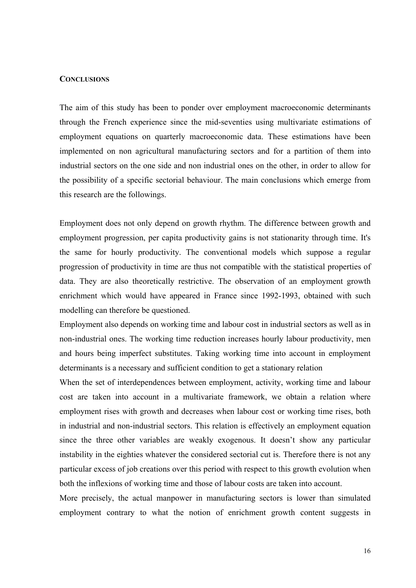#### **CONCLUSIONS**

The aim of this study has been to ponder over employment macroeconomic determinants through the French experience since the mid-seventies using multivariate estimations of employment equations on quarterly macroeconomic data. These estimations have been implemented on non agricultural manufacturing sectors and for a partition of them into industrial sectors on the one side and non industrial ones on the other, in order to allow for the possibility of a specific sectorial behaviour. The main conclusions which emerge from this research are the followings.

Employment does not only depend on growth rhythm. The difference between growth and employment progression, per capita productivity gains is not stationarity through time. It's the same for hourly productivity. The conventional models which suppose a regular progression of productivity in time are thus not compatible with the statistical properties of data. They are also theoretically restrictive. The observation of an employment growth enrichment which would have appeared in France since 1992-1993, obtained with such modelling can therefore be questioned.

Employment also depends on working time and labour cost in industrial sectors as well as in non-industrial ones. The working time reduction increases hourly labour productivity, men and hours being imperfect substitutes. Taking working time into account in employment determinants is a necessary and sufficient condition to get a stationary relation

When the set of interdependences between employment, activity, working time and labour cost are taken into account in a multivariate framework, we obtain a relation where employment rises with growth and decreases when labour cost or working time rises, both in industrial and non-industrial sectors. This relation is effectively an employment equation since the three other variables are weakly exogenous. It doesn't show any particular instability in the eighties whatever the considered sectorial cut is. Therefore there is not any particular excess of job creations over this period with respect to this growth evolution when both the inflexions of working time and those of labour costs are taken into account.

More precisely, the actual manpower in manufacturing sectors is lower than simulated employment contrary to what the notion of enrichment growth content suggests in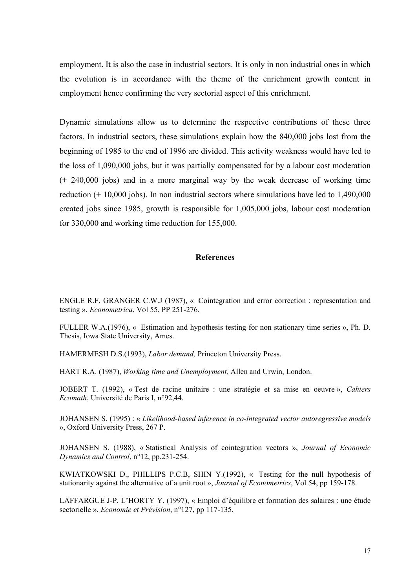employment. It is also the case in industrial sectors. It is only in non industrial ones in which the evolution is in accordance with the theme of the enrichment growth content in employment hence confirming the very sectorial aspect of this enrichment.

Dynamic simulations allow us to determine the respective contributions of these three factors. In industrial sectors, these simulations explain how the 840,000 jobs lost from the beginning of 1985 to the end of 1996 are divided. This activity weakness would have led to the loss of 1,090,000 jobs, but it was partially compensated for by a labour cost moderation (+ 240,000 jobs) and in a more marginal way by the weak decrease of working time reduction (+ 10,000 jobs). In non industrial sectors where simulations have led to 1,490,000 created jobs since 1985, growth is responsible for 1,005,000 jobs, labour cost moderation for 330,000 and working time reduction for 155,000.

#### **References**

ENGLE R.F, GRANGER C.W.J (1987), « Cointegration and error correction : representation and testing », *Econometrica*, Vol 55, PP 251-276.

FULLER W.A.(1976), « Estimation and hypothesis testing for non stationary time series », Ph. D. Thesis, Iowa State University, Ames.

HAMERMESH D.S.(1993), *Labor demand,* Princeton University Press.

HART R.A. (1987), *Working time and Unemployment,* Allen and Urwin, London.

JOBERT T. (1992), « Test de racine unitaire : une stratégie et sa mise en oeuvre », *Cahiers Ecomath*, Université de Paris I, n°92,44.

JOHANSEN S. (1995) : « *Likelihood-based inference in co-integrated vector autoregressive models*  », Oxford University Press, 267 P.

JOHANSEN S. (1988), « Statistical Analysis of cointegration vectors », *Journal of Economic Dynamics and Control*, n°12, pp.231-254.

KWIATKOWSKI D., PHILLIPS P.C.B, SHIN Y.(1992), « Testing for the null hypothesis of stationarity against the alternative of a unit root », *Journal of Econometrics*, Vol 54, pp 159-178.

LAFFARGUE J-P, L'HORTY Y. (1997), « Emploi d'équilibre et formation des salaires : une étude sectorielle », *Economie et Prévision*, n°127, pp 117-135.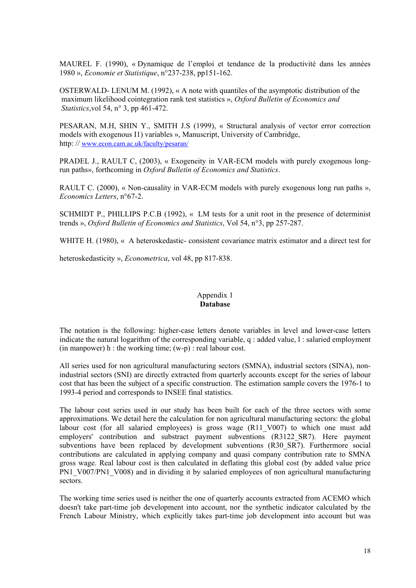MAUREL F. (1990), « Dynamique de l'emploi et tendance de la productivité dans les années 1980 », *Economie et Statistique*, n°237-238, pp151-162.

OSTERWALD- LENUM M. (1992), « A note with quantiles of the asymptotic distribution of the maximum likelihood cointegration rank test statistics », *Oxford Bulletin of Economics and Statistics*,vol 54, n° 3, pp 461-472.

PESARAN, M.H, SHIN Y., SMITH J.S (1999), « Structural analysis of vector error correction models with exogenous I1) variables », Manuscript, University of Cambridge, http: // www.econ.cam.ac.uk/faculty/pesaran/

PRADEL J., RAULT C, (2003), « Exogeneity in VAR-ECM models with purely exogenous longrun paths», forthcoming in *Oxford Bulletin of Economics and Statistics*.

RAULT C. (2000), « Non-causality in VAR-ECM models with purely exogenous long run paths ». *Economics Letters*, n°67-2.

SCHMIDT P., PHILLIPS P.C.B (1992), « LM tests for a unit root in the presence of determinist trends », *Oxford Bulletin of Economics and Statistics*, Vol 54, n°3, pp 257-287.

WHITE H. (1980), « A heteroskedastic- consistent covariance matrix estimator and a direct test for

heteroskedasticity », *Econometrica*, vol 48, pp 817-838.

#### Appendix 1 **Database**

The notation is the following: higher-case letters denote variables in level and lower-case letters indicate the natural logarithm of the corresponding variable, q : added value, l : salaried employment (in manpower) h : the working time;  $(w-p)$ : real labour cost.

All series used for non agricultural manufacturing sectors (SMNA), industrial sectors (SINA), nonindustrial sectors (SNI) are directly extracted from quarterly accounts except for the series of labour cost that has been the subject of a specific construction. The estimation sample covers the 1976-1 to 1993-4 period and corresponds to INSEE final statistics.

The labour cost series used in our study has been built for each of the three sectors with some approximations. We detail here the calculation for non agricultural manufacturing sectors: the global labour cost (for all salaried employees) is gross wage (R11 V007) to which one must add employers' contribution and substract payment subventions (R3122\_SR7). Here payment subventions have been replaced by development subventions (R30 SR7). Furthermore social contributions are calculated in applying company and quasi company contribution rate to SMNA gross wage. Real labour cost is then calculated in deflating this global cost (by added value price PN1\_V007/PN1\_V008) and in dividing it by salaried employees of non agricultural manufacturing sectors.

The working time series used is neither the one of quarterly accounts extracted from ACEMO which doesn't take part-time job development into account, nor the synthetic indicator calculated by the French Labour Ministry, which explicitly takes part-time job development into account but was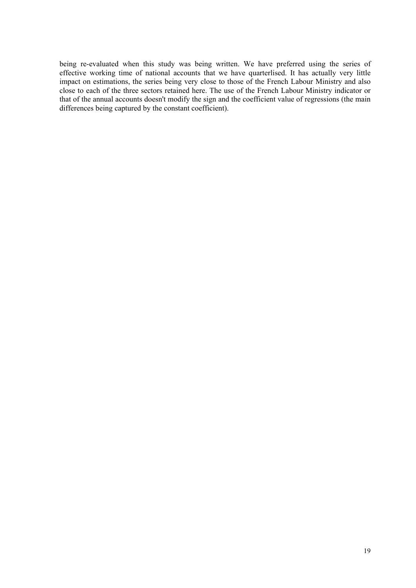being re-evaluated when this study was being written. We have preferred using the series of effective working time of national accounts that we have quarterlised. It has actually very little impact on estimations, the series being very close to those of the French Labour Ministry and also close to each of the three sectors retained here. The use of the French Labour Ministry indicator or that of the annual accounts doesn't modify the sign and the coefficient value of regressions (the main differences being captured by the constant coefficient).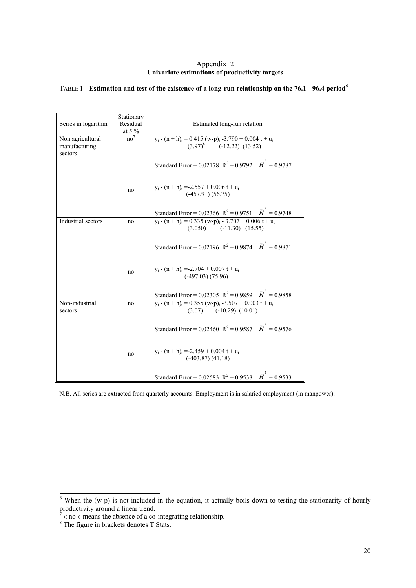#### Appendix 2 **Univariate estimations of productivity targets**

| Series in logarithm       | Stationary<br>Residual | Estimated long-run relation                                                                                     |
|---------------------------|------------------------|-----------------------------------------------------------------------------------------------------------------|
|                           | at 5 $\%$              |                                                                                                                 |
| Non agricultural          | no <sup>7</sup>        | $y_t - (n+h)_t = 0.415$ (w-p) <sub>t</sub> -3.790 + 0.004 t + u <sub>t</sub>                                    |
| manufacturing<br>sectors  |                        | $(3.97)^8$ (-12.22) (13.52)                                                                                     |
|                           |                        | Standard Error = 0.02178 $R^2 = 0.9792$ $\overline{R}^2 = 0.9787$                                               |
|                           | no                     | $y_t - (n + h)_t = -2.557 + 0.006 t + u_t$<br>$(-457.91)(56.75)$                                                |
|                           |                        | Standard Error = 0.02366 $R^2$ = 0.9751 $\overrightarrow{R}$ = 0.9748                                           |
| Industrial sectors        | no                     | $y_t - (n+h)_t = 0.335$ (w-p) <sub>t</sub> - 3.707 + 0.006 t + u <sub>t</sub><br>$(3.050)$ $(-11.30)$ $(15.55)$ |
|                           |                        | Standard Error = 0.02196 $R^2$ = 0.9874 $\overline{R}^2$ = 0.9871                                               |
|                           | no                     | $y_t - (n+h)_t = -2.704 + 0.007 t + u_t$<br>$(-497.03)$ $(75.96)$                                               |
|                           |                        | Standard Error = 0.02305 $R^2 = 0.9859$ $\overline{R}^2 = 0.9858$                                               |
| Non-industrial<br>sectors | no                     | $y_t - (n+h)_t = 0.355$ (w-p) <sub>t</sub> -3.507 + 0.003 t + u <sub>t</sub><br>$(3.07)$ $(-10.29)$ $(10.01)$   |
|                           |                        | Standard Error = 0.02460 $R^2$ = 0.9587 $\overline{R}^2$ = 0.9576                                               |
|                           | no                     | $y_t - (n + h)_t = -2.459 + 0.004 t + u_t$<br>$(-403.87)$ $(41.18)$                                             |
|                           |                        | Standard Error = 0.02583 $R^2$ = 0.9538 $R^2$ = 0.9533                                                          |

#### TABLE 1 - **Estimation and test of the existence of a long-run relationship on the 76.1 - 96.4 period***<sup>6</sup>*

N.B. All series are extracted from quarterly accounts. Employment is in salaried employment (in manpower).

<sup>&</sup>lt;sup>6</sup> When the (w-p) is not included in the equation, it actually boils down to testing the stationarity of hourly productivity around a linear trend.<br>
<sup>7</sup> « no » means the absence of a co-integrating relationship.<br>
<sup>8</sup> The figure in brackets denotes T Stats.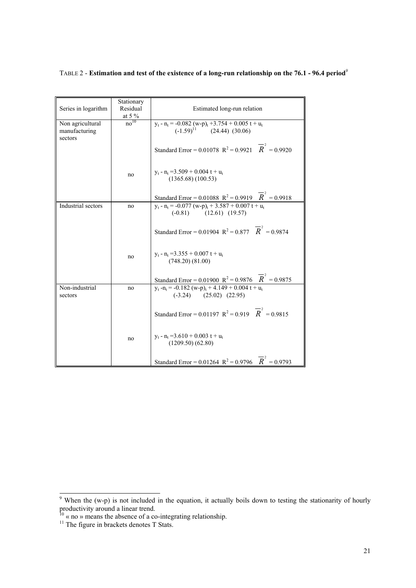#### TABLE 2 - **Estimation and test of the existence of a long-run relationship on the 76.1 - 96.4 period***<sup>9</sup>*

| Series in logarithm                          | Stationary<br>Residual<br>at 5 $\%$ | Estimated long-run relation                                                                                 |
|----------------------------------------------|-------------------------------------|-------------------------------------------------------------------------------------------------------------|
| Non agricultural<br>manufacturing<br>sectors | $\overline{no^{10}}$                | $y_t - n_t = -0.082 (w-p)_t + 3.754 + 0.005 t + u_t$<br>(-1.59) <sup>11</sup> (24.44) (30.06)               |
|                                              |                                     | Standard Error = 0.01078 $R^2 = 0.9921$ $\overline{R}^2 = 0.9920$                                           |
|                                              | no                                  | $y_t - n_t = 3.509 + 0.004 t + u_t$<br>(1365.68) (100.53)                                                   |
|                                              |                                     | Standard Error = 0.01088 $R^2 = 0.9919$ $\overline{R}^2 = 0.9918$                                           |
| Industrial sectors                           | no                                  | $y_t - n_t = -0.077 (w-p)_t + 3.587 + 0.007 t + u_t$<br>$(-0.81)$ $(12.61)$ $(19.57)$                       |
|                                              |                                     | Standard Error = 0.01904 $R^2 = 0.877$ $\overline{R}^2 = 0.9874$                                            |
|                                              | no                                  | $y_t$ - $n_t$ = 3.355 + 0.007 t + $u_t$<br>(748.20)(81.00)                                                  |
|                                              |                                     | Standard Error = 0.01900 $R^2$ = 0.9876 $R^2$ = 0.9875                                                      |
| Non-industrial<br>sectors                    | no                                  | $y_t - n_t = -0.182$ (w-p) <sub>t</sub> + 4.149 + 0.004 t + u <sub>t</sub><br>$(-3.24)$ $(25.02)$ $(22.95)$ |
|                                              |                                     | Standard Error = 0.01197 $R^2 = 0.919$ $\overline{R}^2 = 0.9815$                                            |
|                                              | no                                  | $y_t - n_t = 3.610 + 0.003 t + u_t$<br>$(1209.50)$ $(62.80)$                                                |
|                                              |                                     | Standard Error = 0.01264 $R^2$ = 0.9796 $\overline{R}^2$ = 0.9793                                           |

<sup>&</sup>lt;sup>9</sup> When the (w-p) is not included in the equation, it actually boils down to testing the stationarity of hourly productivity around a linear trend.

 $10 \times$  no » means the absence of a co-integrating relationship.

 $11$  The figure in brackets denotes T Stats.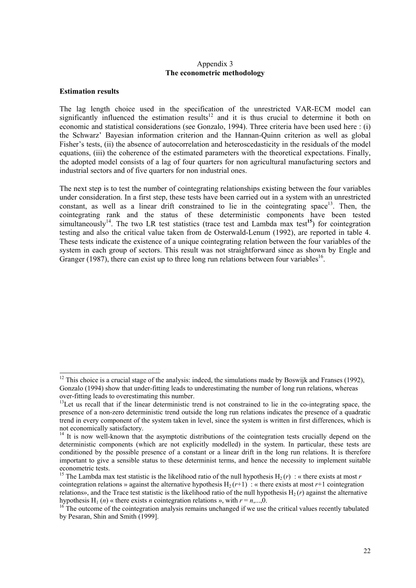#### Appendix 3 **The econometric methodology**

#### **Estimation results**

l

The lag length choice used in the specification of the unrestricted VAR-ECM model can significantly influenced the estimation results<sup>12</sup> and it is thus crucial to determine it both on economic and statistical considerations (see Gonzalo, 1994). Three criteria have been used here : (i) the Schwarz' Bayesian information criterion and the Hannan-Quinn criterion as well as global Fisher's tests, (ii) the absence of autocorrelation and heteroscedasticity in the residuals of the model equations, (iii) the coherence of the estimated parameters with the theoretical expectations. Finally, the adopted model consists of a lag of four quarters for non agricultural manufacturing sectors and industrial sectors and of five quarters for non industrial ones.

The next step is to test the number of cointegrating relationships existing between the four variables under consideration. In a first step, these tests have been carried out in a system with an unrestricted constant, as well as a linear drift constrained to lie in the cointegrating space<sup>13</sup>. Then, the cointegrating rank and the status of these deterministic components have been tested simultaneously<sup>14</sup>. The two LR test statistics (trace test and Lambda max test<sup>15</sup>) for cointegration testing and also the critical value taken from de Osterwald-Lenum (1992), are reported in table 4. These tests indicate the existence of a unique cointegrating relation between the four variables of the system in each group of sectors. This result was not straightforward since as shown by Engle and Granger (1987), there can exist up to three long run relations between four variables<sup>16</sup>.

 $12$  This choice is a crucial stage of the analysis: indeed, the simulations made by Boswijk and Franses (1992), Gonzalo (1994) show that under-fitting leads to underestimating the number of long run relations, whereas over-fitting leads to overestimating this number.

<sup>&</sup>lt;sup>13</sup>Let us recall that if the linear deterministic trend is not constrained to lie in the co-integrating space, the presence of a non-zero deterministic trend outside the long run relations indicates the presence of a quadratic trend in every component of the system taken in level, since the system is written in first differences, which is not economically satisfactory.

<sup>&</sup>lt;sup>14</sup> It is now well-known that the asymptotic distributions of the cointegration tests crucially depend on the deterministic components (which are not explicitly modelled) in the system. In particular, these tests are conditioned by the possible presence of a constant or a linear drift in the long run relations. It is therefore important to give a sensible status to these determinist terms, and hence the necessity to implement suitable econometric tests.

<sup>&</sup>lt;sup>15</sup> The Lambda max test statistic is the likelihood ratio of the null hypothesis  $H_2(r)$ : « there exists at most *r* cointegration relations » against the alternative hypothesis  $H_2(r+1)$ : « there exists at most  $r+1$  cointegration relations», and the Trace test statistic is the likelihood ratio of the null hypothesis H<sub>2</sub> (*r*) against the alternative hypothesis H<sub>1</sub> (*n*) « there exists *n* cointegration relations », with  $r = n$ ,...,0.

<sup>&</sup>lt;sup>16</sup> The outcome of the cointegration analysis remains unchanged if we use the critical values recently tabulated by Pesaran, Shin and Smith (1999].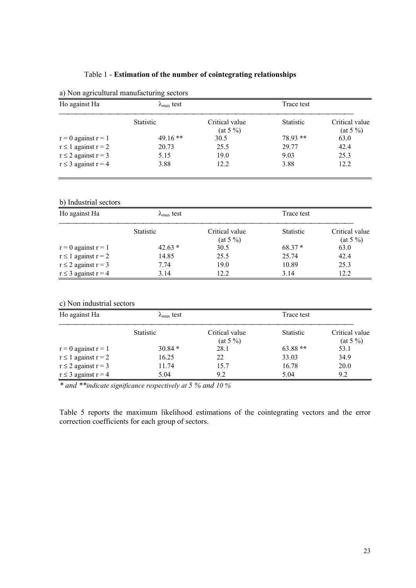#### Table 1 - **Estimation of the number of cointegrating relationships**

| Ho against Ha              | $\lambda_{\text{max}}$ test |                              | Trace test       |                               |
|----------------------------|-----------------------------|------------------------------|------------------|-------------------------------|
|                            | <b>Statistic</b>            | Critical value<br>$(at 5\%)$ | <b>Statistic</b> | Critical value<br>$(at 5\% )$ |
| $r = 0$ against $r = 1$    | $49.16**$                   | 30.5                         | $78.93**$        | 63.0                          |
| $r \leq 1$ against $r = 2$ | 20.73                       | 25.5                         | 29.77            | 42.4                          |
| $r \leq 2$ against $r = 3$ | 5.15                        | 19.0                         | 9.03             | 25.3                          |
| $r \leq 3$ against $r = 4$ | 3.88                        | 12.2                         | 3.88             | 12.2                          |

#### a) Non agricultural manufacturing sectors

#### b) Industrial sectors

| Ho against Ha              | $\lambda_{\text{max}}$ test |                              | Trace test       |                               |
|----------------------------|-----------------------------|------------------------------|------------------|-------------------------------|
|                            | <b>Statistic</b>            | Critical value<br>$(at 5\%)$ | <b>Statistic</b> | Critical value<br>$(at 5\% )$ |
| $r = 0$ against $r = 1$    | $42.63*$                    | 30.5                         | $68.37*$         | 63.0                          |
| $r \leq 1$ against $r = 2$ | 14.85                       | 25.5                         | 25.74            | 42.4                          |
| $r \leq 2$ against $r = 3$ | 7.74                        | 19.0                         | 10.89            | 25.3                          |
| $r \leq 3$ against $r = 4$ | 3.14                        | 12.2                         | 3.14             | 12.2                          |

| Ho against Ha              | $\lambda_{\text{max}}$ test |                               | Trace test       |                               |
|----------------------------|-----------------------------|-------------------------------|------------------|-------------------------------|
|                            | <b>Statistic</b>            | Critical value<br>$(at 5\% )$ | <b>Statistic</b> | Critical value<br>$(at 5\% )$ |
| $r = 0$ against $r = 1$    | $30.84*$                    | 28.1                          | $63.88**$        | 53.1                          |
| $r \leq 1$ against $r = 2$ | 16.25                       | 22                            | 33.03            | 34.9                          |
| $r \leq 2$ against $r = 3$ | 11.74                       | 15.7                          | 16.78            | 20.0                          |
| $r \leq 3$ against $r = 4$ | 5.04                        | 9.2                           | 5.04             | 9.2                           |

*\* and \*\*indicate significance respectively at 5 % and 10 %* 

Table 5 reports the maximum likelihood estimations of the cointegrating vectors and the error correction coefficients for each group of sectors.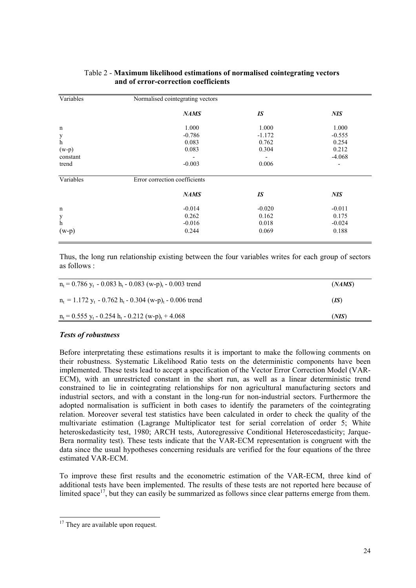| Variables   | Normalised cointegrating vectors |          |            |
|-------------|----------------------------------|----------|------------|
|             | <b>NAMS</b>                      | IS       | <b>NIS</b> |
| $\mathbf n$ | 1.000                            | 1.000    | 1.000      |
| y           | $-0.786$                         | $-1.172$ | $-0.555$   |
| $\mathbf h$ | 0.083                            | 0.762    | 0.254      |
| $(w-p)$     | 0.083                            | 0.304    | 0.212      |
| constant    |                                  |          | $-4.068$   |
| trend       | $-0.003$                         | 0.006    |            |
| Variables   | Error correction coefficients    |          |            |
|             | <b>NAMS</b>                      | IS       | <b>NIS</b> |
| $\mathbf n$ | $-0.014$                         | $-0.020$ | $-0.011$   |
| y           | 0.262                            | 0.162    | 0.175      |
| h           | $-0.016$                         | 0.018    | $-0.024$   |
| $(w-p)$     | 0.244                            | 0.069    | 0.188      |

#### Table 2 - **Maximum likelihood estimations of normalised cointegrating vectors and of error-correction coefficients**

Thus, the long run relationship existing between the four variables writes for each group of sectors as follows :

| $n_t = 0.786$ $v_t$ - 0.083 $h_t$ - 0.083 (w-p) <sub>t</sub> - 0.003 trend                   | (NAMS) |
|----------------------------------------------------------------------------------------------|--------|
| $n_t = 1.172$ y <sub>t</sub> - 0.762 h <sub>t</sub> - 0.304 (w-p) <sub>t</sub> - 0.006 trend | (IS)   |
| $n_t = 0.555$ y <sub>t</sub> - 0.254 h <sub>t</sub> - 0.212 (w-p) <sub>t</sub> + 4.068       | (NIS)  |

#### *Tests of robustness*

Before interpretating these estimations results it is important to make the following comments on their robustness. Systematic Likelihood Ratio tests on the deterministic components have been implemented. These tests lead to accept a specification of the Vector Error Correction Model (VAR-ECM), with an unrestricted constant in the short run, as well as a linear deterministic trend constrained to lie in cointegrating relationships for non agricultural manufacturing sectors and industrial sectors, and with a constant in the long-run for non-industrial sectors. Furthermore the adopted normalisation is sufficient in both cases to identify the parameters of the cointegrating relation. Moreover several test statistics have been calculated in order to check the quality of the multivariate estimation (Lagrange Multiplicator test for serial correlation of order 5; White heteroskedasticity test, 1980; ARCH tests, Autoregressive Conditional Heteroscedasticity; Jarque-Bera normality test). These tests indicate that the VAR-ECM representation is congruent with the data since the usual hypotheses concerning residuals are verified for the four equations of the three estimated VAR-ECM.

To improve these first results and the econometric estimation of the VAR-ECM, three kind of additional tests have been implemented. The results of these tests are not reported here because of limited space<sup>17</sup>, but they can easily be summarized as follows since clear patterns emerge from them.

l

<sup>&</sup>lt;sup>17</sup> They are available upon request.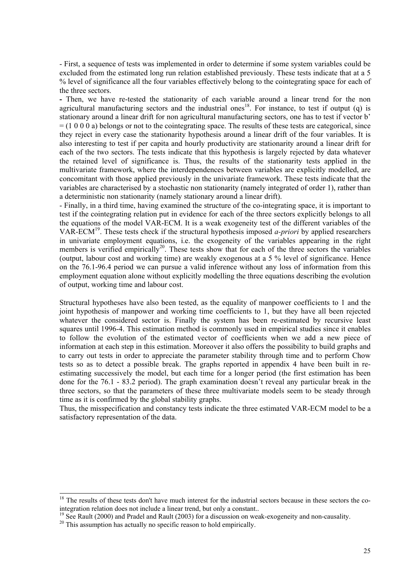- First, a sequence of tests was implemented in order to determine if some system variables could be excluded from the estimated long run relation established previously. These tests indicate that at a 5 % level of significance all the four variables effectively belong to the cointegrating space for each of the three sectors.

**-** Then, we have re-tested the stationarity of each variable around a linear trend for the non agricultural manufacturing sectors and the industrial ones<sup>18</sup>. For instance, to test if output (q) is stationary around a linear drift for non agricultural manufacturing sectors, one has to test if vector b'  $= (1 0 0 0 a)$  belongs or not to the cointegrating space. The results of these tests are categorical, since they reject in every case the stationarity hypothesis around a linear drift of the four variables. It is also interesting to test if per capita and hourly productivity are stationarity around a linear drift for each of the two sectors. The tests indicate that this hypothesis is largely rejected by data whatever the retained level of significance is. Thus, the results of the stationarity tests applied in the multivariate framework, where the interdependences between variables are explicitly modelled, are concomitant with those applied previously in the univariate framework. These tests indicate that the variables are characterised by a stochastic non stationarity (namely integrated of order 1), rather than a deterministic non stationarity (namely stationary around a linear drift).

- Finally, in a third time, having examined the structure of the co-integrating space, it is important to test if the cointegrating relation put in evidence for each of the three sectors explicitly belongs to all the equations of the model VAR-ECM. It is a weak exogeneity test of the different variables of the VAR-ECM19. These tests check if the structural hypothesis imposed *a-priori* by applied researchers in univariate employment equations, i.e. the exogeneity of the variables appearing in the right members is verified empirically<sup>20</sup>. These tests show that for each of the three sectors the variables (output, labour cost and working time) are weakly exogenous at a 5 % level of significance. Hence on the 76.1-96.4 period we can pursue a valid inference without any loss of information from this employment equation alone without explicitly modelling the three equations describing the evolution of output, working time and labour cost.

Structural hypotheses have also been tested, as the equality of manpower coefficients to 1 and the joint hypothesis of manpower and working time coefficients to 1, but they have all been rejected whatever the considered sector is. Finally the system has been re-estimated by recursive least squares until 1996-4. This estimation method is commonly used in empirical studies since it enables to follow the evolution of the estimated vector of coefficients when we add a new piece of information at each step in this estimation. Moreover it also offers the possibility to build graphs and to carry out tests in order to appreciate the parameter stability through time and to perform Chow tests so as to detect a possible break. The graphs reported in appendix 4 have been built in reestimating successively the model, but each time for a longer period (the first estimation has been done for the 76.1 - 83.2 period). The graph examination doesn't reveal any particular break in the three sectors, so that the parameters of these three multivariate models seem to be steady through time as it is confirmed by the global stability graphs.

Thus, the misspecification and constancy tests indicate the three estimated VAR-ECM model to be a satisfactory representation of the data.

l

 $18$  The results of these tests don't have much interest for the industrial sectors because in these sectors the cointegration relation does not include a linear trend, but only a constant..

<sup>&</sup>lt;sup>19</sup> See Rault (2000) and Pradel and Rault (2003) for a discussion on weak-exogeneity and non-causality. <sup>20</sup> This assumption has actually no specific reason to hold empirically.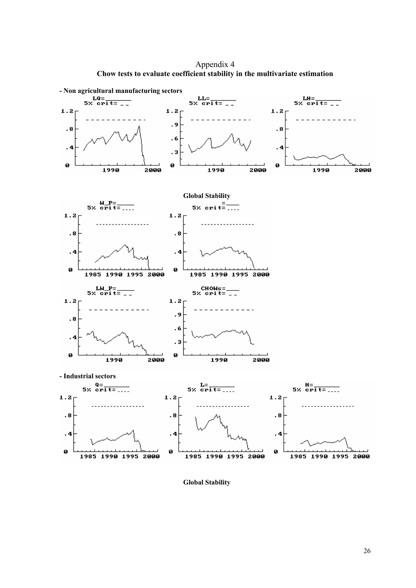Appendix 4 **Chow tests to evaluate coefficient stability in the multivariate estimation** 



**Global Stability**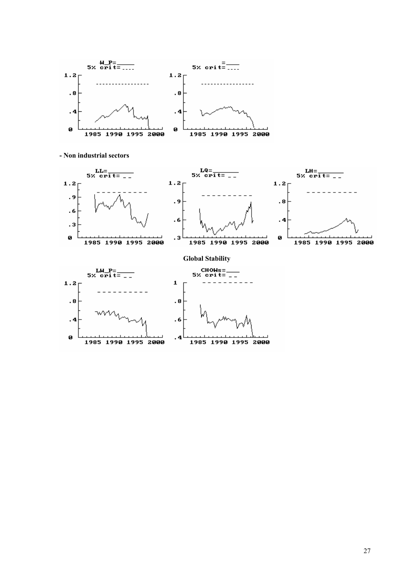

**- Non industrial sectors**